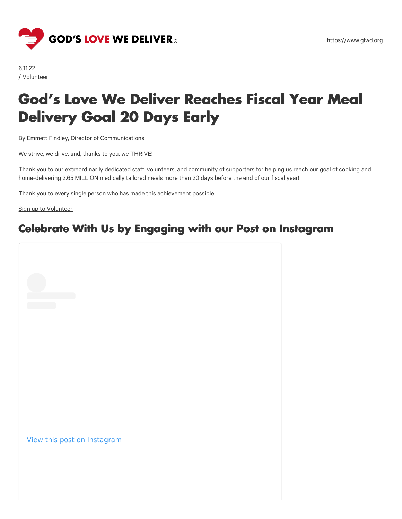

6.11.22 / [Volunteer](https://www.glwd.org/blog/?cat=volunteer)

# **God's Love We Deliver Reaches Fiscal Year Meal Delivery Goal 20 Days Early**

By Emmett Findley, Director of [Communications](https://www.glwd.org/blog/?post-author=emmett-findley)

We strive, we drive, and, thanks to you, we THRIVE!

Thank you to our extraordinarily dedicated staff, volunteers, and community of supporters for helping us reach our goal of cooking and home-delivering 2.65 MILLION medically tailored meals more than 20 days before the end of our fiscal year!

Thank you to every single person who has made this achievement possible.

Sign up to [Volunteer](http://www.glwd.org/volunteer)

#### **Celebrate With Us by Engaging with our Post on Instagram**

View this post on Instagram

https://www.glwd.org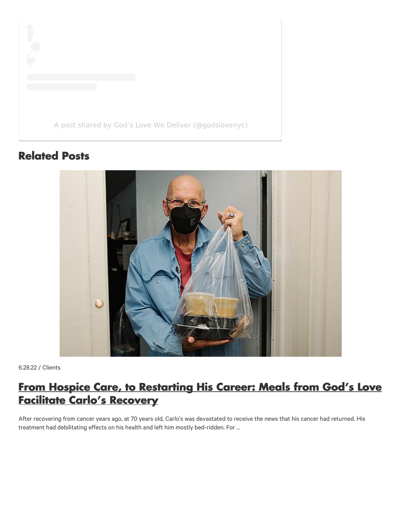

#### **Related Posts**



6.28.22 / Clients

### **From Hospice Care, to [Restarting](https://www.glwd.org/blog/from-hospice-care-to-restarting-his-career-meals-from-gods-love-facilitate-carlos-recovery/) His Career: Meals from God's Love Facilitate Carlo's Recovery**

After recovering from cancer years ago, at 70 years old, Carlo's was devastated to receive the news that his cancer had returned. His treatment had debilitating effects on his health and left him mostly bed-ridden. For …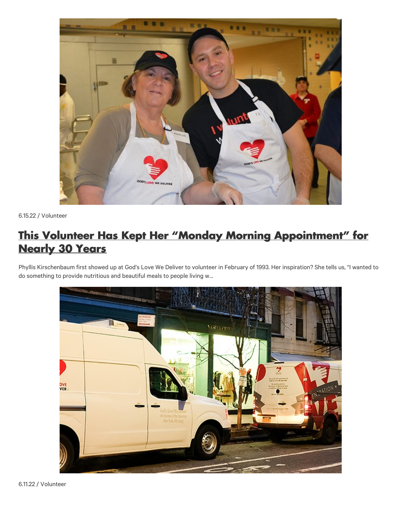

6.15.22 / Volunteer

### **This Volunteer Has Kept Her "Monday Morning [Appointment"](https://www.glwd.org/blog/this-volunteer-has-kept-her-monday-morning-appointment-for-nearly-30-years/) for Nearly 30 Years**

Phyllis Kirschenbaum first showed up at God's Love We Deliver to volunteer in February of 1993. Her inspiration? She tells us, "I wanted to do something to provide nutritious and beautiful meals to people living w…